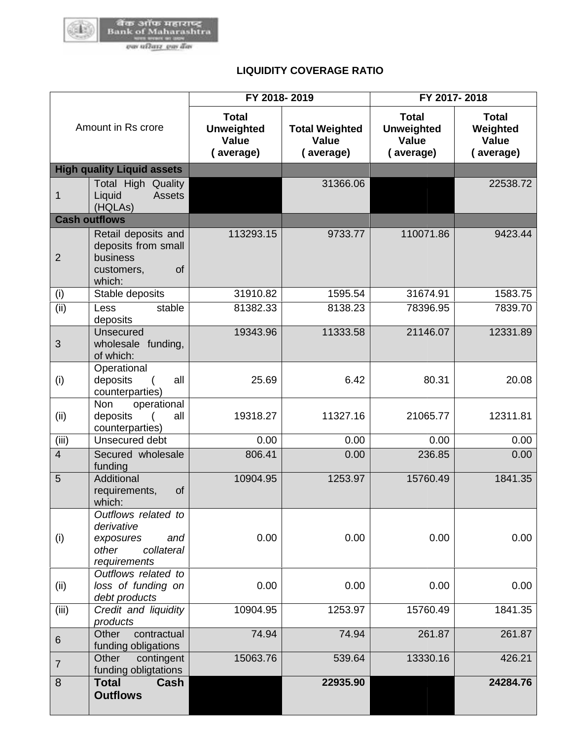

## **LIQUIDITY COVERAGE RATIO**

| Amount in Rs crore |                                                                                              | FY 2018-2019                                            |                                                    | FY 2017-2018                                                   |                                                       |  |
|--------------------|----------------------------------------------------------------------------------------------|---------------------------------------------------------|----------------------------------------------------|----------------------------------------------------------------|-------------------------------------------------------|--|
|                    |                                                                                              | <b>Total</b><br><b>Unweighted</b><br>Value<br>(average) | <b>Total Weighted</b><br><b>Value</b><br>(average) | <b>Total</b><br><b>Unweighted</b><br><b>Value</b><br>(average) | <b>Total</b><br>Weighted<br><b>Value</b><br>(average) |  |
|                    | <b>High quality Liquid assets</b>                                                            |                                                         |                                                    |                                                                |                                                       |  |
| 1                  | <b>Total High Quality</b><br><b>Assets</b><br>Liquid<br>(HQLAs)                              |                                                         | 31366.06                                           |                                                                | 22538.72                                              |  |
|                    | <b>Cash outflows</b>                                                                         |                                                         |                                                    |                                                                |                                                       |  |
| $\overline{2}$     | Retail deposits and<br>deposits from small<br>business<br>of<br>customers,<br>which:         | 113293.15                                               | 9733.77                                            | 110071.86                                                      | 9423.44                                               |  |
| (i)                | Stable deposits                                                                              | 31910.82                                                | 1595.54                                            | 31674.91                                                       | 1583.75                                               |  |
| (ii)               | stable<br>Less<br>deposits                                                                   | 81382.33                                                | 8138.23                                            | 78396.95                                                       | 7839.70                                               |  |
| 3                  | Unsecured<br>wholesale funding,<br>of which:                                                 | 19343.96                                                | 11333.58                                           | 21146.07                                                       | 12331.89                                              |  |
| (i)                | Operational<br>deposits<br>all<br>$\left($<br>counterparties)<br><b>Non</b><br>operational   | 25.69                                                   | 6.42                                               | 80.31                                                          | 20.08                                                 |  |
| (ii)               | deposits<br>all<br>counterparties)                                                           | 19318.27                                                | 11327.16                                           | 21065.77                                                       | 12311.81                                              |  |
| (iii)              | Unsecured debt                                                                               | 0.00                                                    | 0.00                                               | 0.00                                                           | 0.00                                                  |  |
| $\overline{4}$     | Secured wholesale<br>funding                                                                 | 806.41                                                  | 0.00                                               | 236.85                                                         | 0.00                                                  |  |
| 5                  | Additional<br>requirements,<br>of<br>which:                                                  | 10904.95                                                | 1253.97                                            | 15760.49                                                       | 1841.35                                               |  |
| (i)                | Outflows related to<br>derivative<br>and<br>exposures<br>other<br>collateral<br>requirements | 0.00                                                    | 0.00                                               | 0.00                                                           | 0.00                                                  |  |
| (ii)               | Outflows related to<br>loss of funding on<br>debt products                                   | 0.00                                                    | 0.00                                               | 0.00                                                           | 0.00                                                  |  |
| (iii)              | Credit and liquidity<br>products                                                             | 10904.95                                                | 1253.97                                            | 15760.49                                                       | 1841.35                                               |  |
| $6\phantom{1}$     | Other<br>contractual<br>funding obligations                                                  | 74.94                                                   | 74.94                                              | 261.87                                                         | 261.87                                                |  |
| $\overline{7}$     | Other<br>contingent<br>funding obligtations                                                  | 15063.76                                                | 539.64                                             | 13330.16                                                       | 426.21                                                |  |
| 8                  | <b>Total</b><br>Cash<br><b>Outflows</b>                                                      |                                                         | 22935.90                                           |                                                                | 24284.76                                              |  |